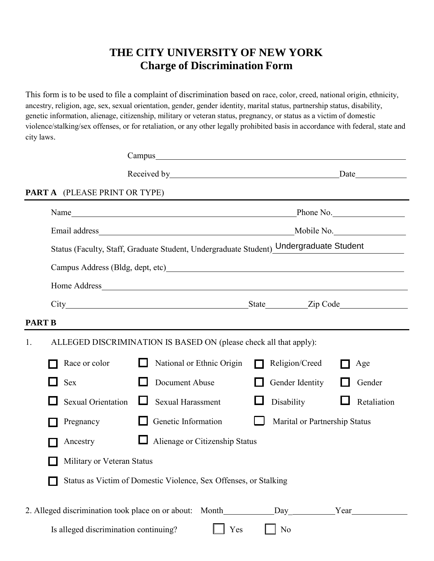## **THE CITY UNIVERSITY OF NEW YORK Charge of Discrimination Form**

This form is to be used to file a complaint of discrimination based on race, color, creed, national origin, ethnicity, ancestry, religion, age, sex, sexual orientation, gender, gender identity, marital status, partnership status, disability, genetic information, alienage, citizenship, military or veteran status, pregnancy, or status as a victim of domestic violence/stalking/sex offenses, or for retaliation, or any other legally prohibited basis in accordance with federal, state and city laws.

|               |  |                                                                                        |  |                                                                                        | Received by Date |                               |  |             |
|---------------|--|----------------------------------------------------------------------------------------|--|----------------------------------------------------------------------------------------|------------------|-------------------------------|--|-------------|
|               |  | <b>PART A</b> (PLEASE PRINT OR TYPE)                                                   |  |                                                                                        |                  |                               |  |             |
|               |  |                                                                                        |  |                                                                                        |                  |                               |  | Phone No.   |
|               |  |                                                                                        |  |                                                                                        |                  |                               |  |             |
|               |  | Status (Faculty, Staff, Graduate Student, Undergraduate Student) Undergraduate Student |  |                                                                                        |                  |                               |  |             |
|               |  |                                                                                        |  |                                                                                        |                  |                               |  |             |
|               |  |                                                                                        |  |                                                                                        |                  |                               |  |             |
|               |  |                                                                                        |  |                                                                                        |                  |                               |  |             |
| <b>PART B</b> |  |                                                                                        |  |                                                                                        |                  |                               |  |             |
| 1.            |  | ALLEGED DISCRIMINATION IS BASED ON (please check all that apply):                      |  |                                                                                        |                  |                               |  |             |
|               |  | Race or color                                                                          |  | National or Ethnic Origin                                                              |                  | Religion/Creed                |  | Age         |
|               |  | <b>Sex</b>                                                                             |  | Document Abuse                                                                         |                  | Gender Identity               |  | Gender      |
|               |  | <b>Sexual Orientation</b>                                                              |  | <b>Sexual Harassment</b>                                                               |                  | Disability                    |  | Retaliation |
|               |  | Pregnancy                                                                              |  | Genetic Information                                                                    |                  | Marital or Partnership Status |  |             |
|               |  | Ancestry                                                                               |  | Alienage or Citizenship Status                                                         |                  |                               |  |             |
|               |  | Military or Veteran Status                                                             |  |                                                                                        |                  |                               |  |             |
|               |  |                                                                                        |  | Status as Victim of Domestic Violence, Sex Offenses, or Stalking                       |                  |                               |  |             |
|               |  |                                                                                        |  | 2. Alleged discrimination took place on or about: Month____________Day___________Year_ |                  |                               |  |             |
|               |  | Is alleged discrimination continuing?                                                  |  | Yes                                                                                    |                  | N <sub>0</sub>                |  |             |